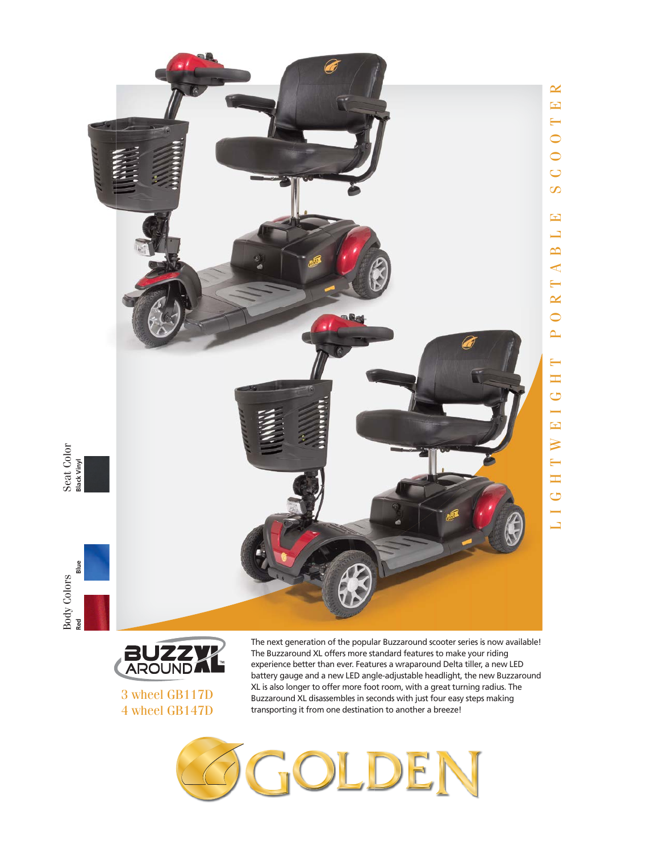

Seat Color<br>Black Vinyl





3 wheel GB117D 4 wheel GB147D

The next generation of the popular Buzzaround scooter series is now available! The Buzzaround XL offers more standard features to make your riding experience better than ever. Features a wraparound Delta tiller, a new LED battery gauge and a new LED angle-adjustable headlight, the new Buzzaround XL is also longer to offer more foot room, with a great turning radius. The Buzzaround XL disassembles in seconds with just four easy steps making transporting it from one destination to another a breeze!